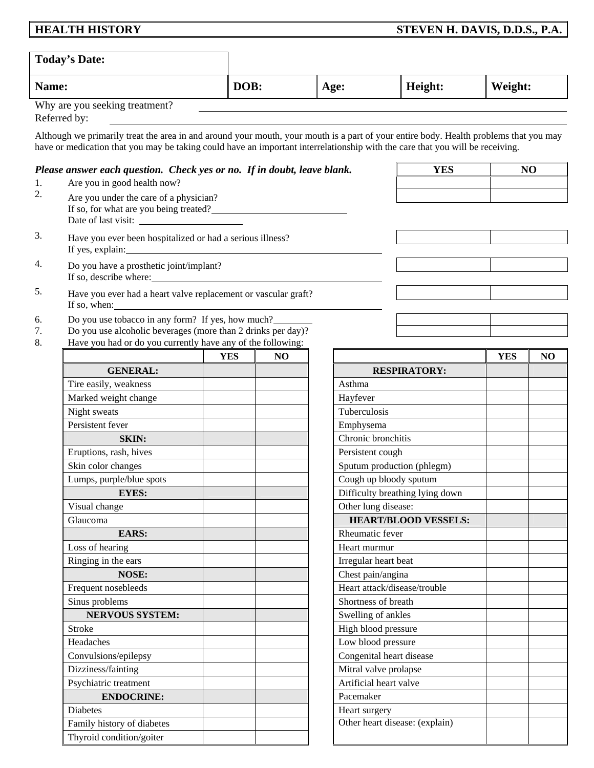# **HEALTH HISTORY STEVEN H. DAVIS, D.D.S., P.A.**

|                | <b>Today's Date:</b>                                                                                                                                                                                                                                                   |            |                |                   |                                           |            |                |
|----------------|------------------------------------------------------------------------------------------------------------------------------------------------------------------------------------------------------------------------------------------------------------------------|------------|----------------|-------------------|-------------------------------------------|------------|----------------|
| Name:          |                                                                                                                                                                                                                                                                        | DOB:       |                | Age:              | Height:                                   | Weight:    |                |
|                | Why are you seeking treatment?<br>Referred by:                                                                                                                                                                                                                         |            |                |                   |                                           |            |                |
|                | Although we primarily treat the area in and around your mouth, your mouth is a part of your entire body. Health problems that you may<br>have or medication that you may be taking could have an important interrelationship with the care that you will be receiving. |            |                |                   |                                           |            |                |
|                | Please answer each question. Check yes or no. If in doubt, leave blank.                                                                                                                                                                                                |            |                |                   | <b>YES</b>                                |            | N <sub>O</sub> |
| 1.             | Are you in good health now?                                                                                                                                                                                                                                            |            |                |                   |                                           |            |                |
| 2.             | Are you under the care of a physician?                                                                                                                                                                                                                                 |            |                |                   |                                           |            |                |
| 3.             | Have you ever been hospitalized or had a serious illness?<br>If yes, explain:                                                                                                                                                                                          |            |                |                   |                                           |            |                |
| 4.             | Do you have a prosthetic joint/implant?<br>If so, describe where:                                                                                                                                                                                                      |            |                |                   |                                           |            |                |
| 5.             | Have you ever had a heart valve replacement or vascular graft?<br>If so, when:                                                                                                                                                                                         |            |                |                   |                                           |            |                |
| 6.<br>7.<br>8. | Do you use tobacco in any form? If yes, how much?<br>Do you use alcoholic beverages (more than 2 drinks per day)?<br>Have you had or do you currently have any of the following:                                                                                       |            |                |                   |                                           |            |                |
|                |                                                                                                                                                                                                                                                                        | <b>YES</b> | N <sub>O</sub> |                   |                                           | <b>YES</b> | N <sub>O</sub> |
|                | <b>GENERAL:</b>                                                                                                                                                                                                                                                        |            |                |                   | <b>RESPIRATORY:</b>                       |            |                |
|                | Tire easily, weakness                                                                                                                                                                                                                                                  |            |                | Asthma            |                                           |            |                |
|                | Marked weight change                                                                                                                                                                                                                                                   |            |                | Hayfever          |                                           |            |                |
|                | Night sweats                                                                                                                                                                                                                                                           |            |                | Tuberculosis      |                                           |            |                |
|                | Persistent fever                                                                                                                                                                                                                                                       |            |                | Emphysema         |                                           |            |                |
|                | <b>SKIN:</b>                                                                                                                                                                                                                                                           |            |                |                   | Chronic bronchitis                        |            |                |
|                | Eruptions, rash, hives                                                                                                                                                                                                                                                 |            |                | Persistent cough  |                                           |            |                |
|                | Skin color changes                                                                                                                                                                                                                                                     |            |                |                   | Sputum production (phlegm)                |            |                |
|                | Lumps, purple/blue spots                                                                                                                                                                                                                                               |            |                |                   | Cough up bloody sputum                    |            |                |
|                | <b>EYES:</b>                                                                                                                                                                                                                                                           |            |                |                   | Difficulty breathing lying down           |            |                |
|                | Visual change                                                                                                                                                                                                                                                          |            |                |                   | Other lung disease:                       |            |                |
|                | Glaucoma                                                                                                                                                                                                                                                               |            |                |                   | <b>HEART/BLOOD VESSELS:</b>               |            |                |
|                | <b>EARS:</b>                                                                                                                                                                                                                                                           |            |                | Rheumatic fever   |                                           |            |                |
|                | Loss of hearing                                                                                                                                                                                                                                                        |            |                | Heart murmur      |                                           |            |                |
|                | Ringing in the ears                                                                                                                                                                                                                                                    |            |                |                   | Irregular heart beat                      |            |                |
|                | <b>NOSE:</b>                                                                                                                                                                                                                                                           |            |                | Chest pain/angina |                                           |            |                |
|                | Frequent nosebleeds                                                                                                                                                                                                                                                    |            |                |                   | Heart attack/disease/trouble              |            |                |
|                | Sinus problems                                                                                                                                                                                                                                                         |            |                |                   | Shortness of breath                       |            |                |
|                | <b>NERVOUS SYSTEM:</b>                                                                                                                                                                                                                                                 |            |                |                   | Swelling of ankles                        |            |                |
|                | <b>Stroke</b><br>Headaches                                                                                                                                                                                                                                             |            |                |                   | High blood pressure<br>Low blood pressure |            |                |
|                | Convulsions/epilepsy                                                                                                                                                                                                                                                   |            |                |                   | Congenital heart disease                  |            |                |
|                | Dizziness/fainting                                                                                                                                                                                                                                                     |            |                |                   | Mitral valve prolapse                     |            |                |
|                | Psychiatric treatment                                                                                                                                                                                                                                                  |            |                |                   | Artificial heart valve                    |            |                |
|                | <b>ENDOCRINE:</b>                                                                                                                                                                                                                                                      |            |                | Pacemaker         |                                           |            |                |
|                | <b>Diabetes</b>                                                                                                                                                                                                                                                        |            |                | Heart surgery     |                                           |            |                |
|                | Family history of diabetes                                                                                                                                                                                                                                             |            |                |                   | Other heart disease: (explain)            |            |                |
|                | Thyroid condition/goiter                                                                                                                                                                                                                                               |            |                |                   |                                           |            |                |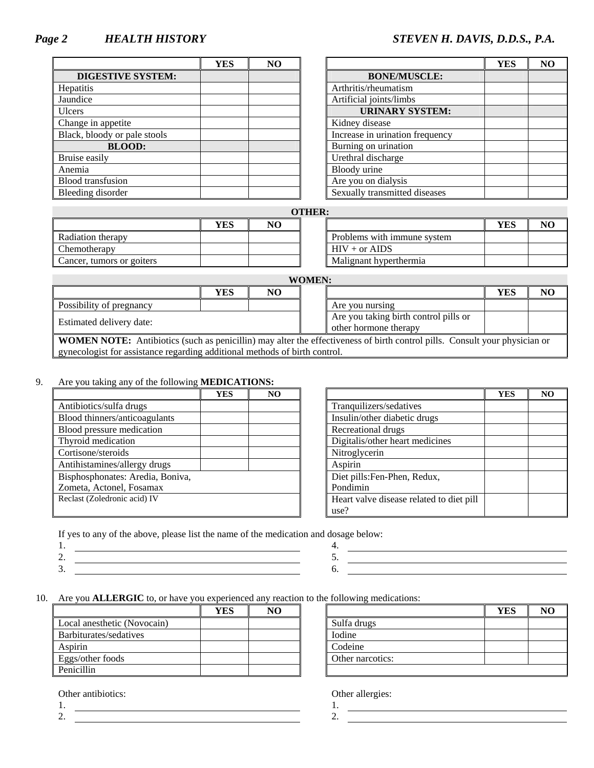## *Page 2 HEALTH HISTORY STEVEN H. DAVIS, D.D.S., P.A.*

|                              | YES | NO |                                 |
|------------------------------|-----|----|---------------------------------|
| <b>DIGESTIVE SYSTEM:</b>     |     |    | <b>BONE/MUSCLE:</b>             |
| <b>Hepatitis</b>             |     |    | Arthritis/rheumatism            |
| Jaundice                     |     |    | Artificial joints/limbs         |
| <b>Ulcers</b>                |     |    | <b>URINARY SYSTEM:</b>          |
| Change in appetite           |     |    | Kidney disease                  |
| Black, bloody or pale stools |     |    | Increase in urination frequency |
| <b>BLOOD:</b>                |     |    | Burning on urination            |
| Bruise easily                |     |    | Urethral discharge              |
| Anemia                       |     |    | Bloody urine                    |
| <b>Blood</b> transfusion     |     |    | Are you on dialysis             |
| Bleeding disorder            |     |    | Sexually transmitted diseases   |

| <b>YES</b> | N <sub>O</sub> |                                 | <b>YES</b> | N <sub>O</sub> |
|------------|----------------|---------------------------------|------------|----------------|
|            |                | <b>BONE/MUSCLE:</b>             |            |                |
|            |                | Arthritis/rheumatism            |            |                |
|            |                | Artificial joints/limbs         |            |                |
|            |                | <b>URINARY SYSTEM:</b>          |            |                |
|            |                | Kidney disease                  |            |                |
|            |                | Increase in urination frequency |            |                |
|            |                | Burning on urination            |            |                |
|            |                | Urethral discharge              |            |                |
|            |                | Bloody urine                    |            |                |
|            |                | Are you on dialysis             |            |                |
|            |                | Sexually transmitted diseases   |            |                |

|                           |     |    | <b>OTHER:</b> |                             |            |                |
|---------------------------|-----|----|---------------|-----------------------------|------------|----------------|
|                           | YES | NO |               |                             | <b>YES</b> | N <sub>O</sub> |
| Radiation therapy         |     |    |               | Problems with immune system |            |                |
| Chemotherapy              |     |    |               | $HIV + or AIDS$             |            |                |
| Cancer, tumors or goiters |     |    |               | Malignant hyperthermia      |            |                |

|                          |     |    | <b>WOMEN:</b> |                                       |     |    |
|--------------------------|-----|----|---------------|---------------------------------------|-----|----|
|                          | YES | NO |               |                                       | YES | NO |
| Possibility of pregnancy |     |    |               | Are you nursing                       |     |    |
| Estimated delivery date: |     |    |               | Are you taking birth control pills or |     |    |
|                          |     |    |               | other hormone therapy                 |     |    |
|                          |     |    |               |                                       |     |    |

**WOMEN NOTE:** Antibiotics (such as penicillin) may alter the effectiveness of birth control pills. Consult your physician or gynecologist for assistance regarding additional methods of birth control.

### 9. Are you taking any of the following **MEDICATIONS:**

|                                  | YES | NO. |                                          |
|----------------------------------|-----|-----|------------------------------------------|
| Antibiotics/sulfa drugs          |     |     | Tranquilizers/sedatives                  |
| Blood thinners/anticoagulants    |     |     | Insulin/other diabetic drugs             |
| Blood pressure medication        |     |     | Recreational drugs                       |
| Thyroid medication               |     |     | Digitalis/other heart medicines          |
| Cortisone/steroids               |     |     | Nitroglycerin                            |
| Antihistamines/allergy drugs     |     |     | Aspirin                                  |
| Bisphosphonates: Aredia, Boniva, |     |     | Diet pills: Fen-Phen, Redux,             |
| Zometa, Actonel, Fosamax         |     |     | Pondimin                                 |
| Reclast (Zoledronic acid) IV     |     |     | Heart valve disease related to diet pill |
|                                  |     |     | use?                                     |

| <b>YES</b> | NO |          |                                          | <b>YES</b> | N <sub>O</sub> |
|------------|----|----------|------------------------------------------|------------|----------------|
|            |    |          | Tranquilizers/sedatives                  |            |                |
|            |    |          | Insulin/other diabetic drugs             |            |                |
|            |    |          | Recreational drugs                       |            |                |
|            |    |          | Digitalis/other heart medicines          |            |                |
|            |    |          | Nitroglycerin                            |            |                |
|            |    | Aspirin  |                                          |            |                |
|            |    |          | Diet pills: Fen-Phen, Redux,             |            |                |
|            |    | Pondimin |                                          |            |                |
|            |    |          | Heart valve disease related to diet pill |            |                |
|            |    | use?     |                                          |            |                |

If yes to any of the above, please list the name of the medication and dosage below:<br>1.

 $\frac{1}{2}$ .  $\frac{4}{5}$ .  $\overline{\phantom{a}}$   $\overline{\phantom{a}}$   $\overline{\phantom{a}}$   $\overline{\phantom{a}}$   $\overline{\phantom{a}}$   $\overline{\phantom{a}}$   $\overline{\phantom{a}}$   $\overline{\phantom{a}}$   $\overline{\phantom{a}}$   $\overline{\phantom{a}}$   $\overline{\phantom{a}}$   $\overline{\phantom{a}}$   $\overline{\phantom{a}}$   $\overline{\phantom{a}}$   $\overline{\phantom{a}}$   $\overline{\phantom{a}}$   $\overline{\phantom{a}}$   $\overline{\phantom{a}}$   $\overline{\$  $3.6.$ 

10. Are you **ALLERGIC** to, or have you experienced any reaction to the following medications:

|                             | YES | NO |                  |
|-----------------------------|-----|----|------------------|
| Local anesthetic (Novocain) |     |    | Sulfa drugs      |
| Barbiturates/sedatives      |     |    | Iodine           |
| Aspirin                     |     |    | Codeine          |
| Eggs/other foods            |     |    | Other narcotics: |
| <b>Penicillin</b>           |     |    |                  |

| <b>YES</b> | NO |                  | <b>YES</b> | N <sub>0</sub> |
|------------|----|------------------|------------|----------------|
|            |    | Sulfa drugs      |            |                |
|            |    | Iodine           |            |                |
|            |    | Codeine          |            |                |
|            |    | Other narcotics: |            |                |
|            |    |                  |            |                |

Other antibiotics: Other allergies: Other allergies:  $1.$  1. 1. 1. 2. 2.